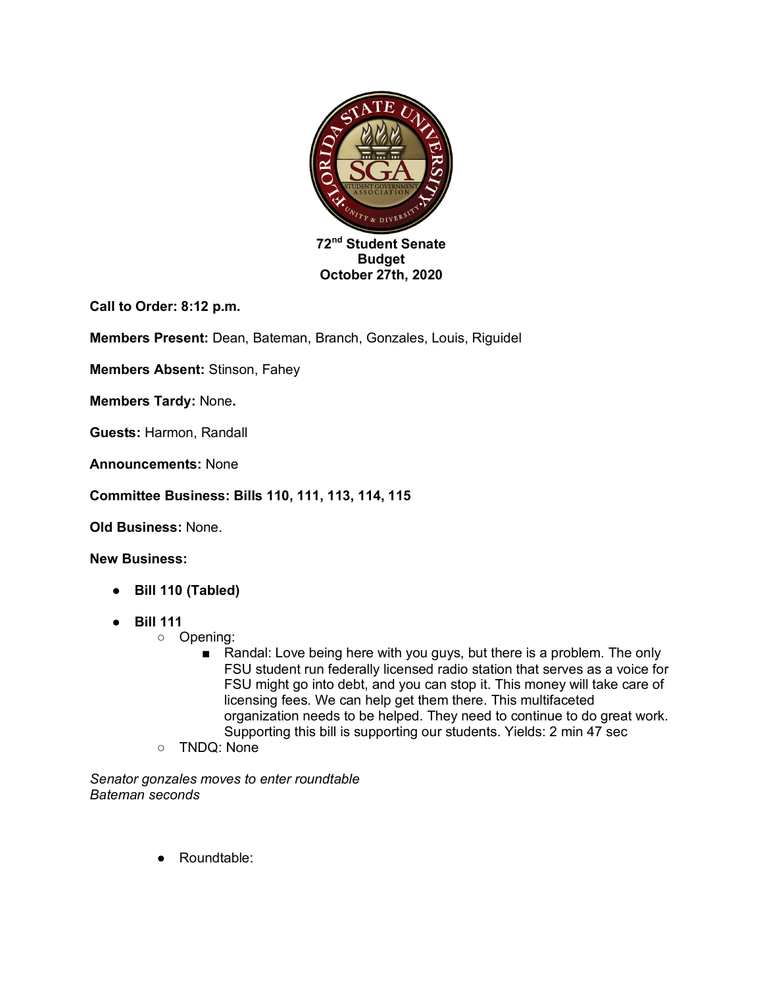

**Call to Order: 8:12 p.m.**

**Members Present:** Dean, Bateman, Branch, Gonzales, Louis, Riguidel

**Members Absent:** Stinson, Fahey

**Members Tardy:** None**.**

**Guests:** Harmon, Randall

**Announcements:** None

**Committee Business: Bills 110, 111, 113, 114, 115**

**Old Business:** None.

**New Business:** 

- **Bill 110 (Tabled)**
- **Bill 111**
	- Opening:
		- Randal: Love being here with you guys, but there is a problem. The only FSU student run federally licensed radio station that serves as a voice for FSU might go into debt, and you can stop it. This money will take care of licensing fees. We can help get them there. This multifaceted organization needs to be helped. They need to continue to do great work. Supporting this bill is supporting our students. Yields: 2 min 47 sec
	- TNDQ: None

*Senator gonzales moves to enter roundtable Bateman seconds*

● Roundtable: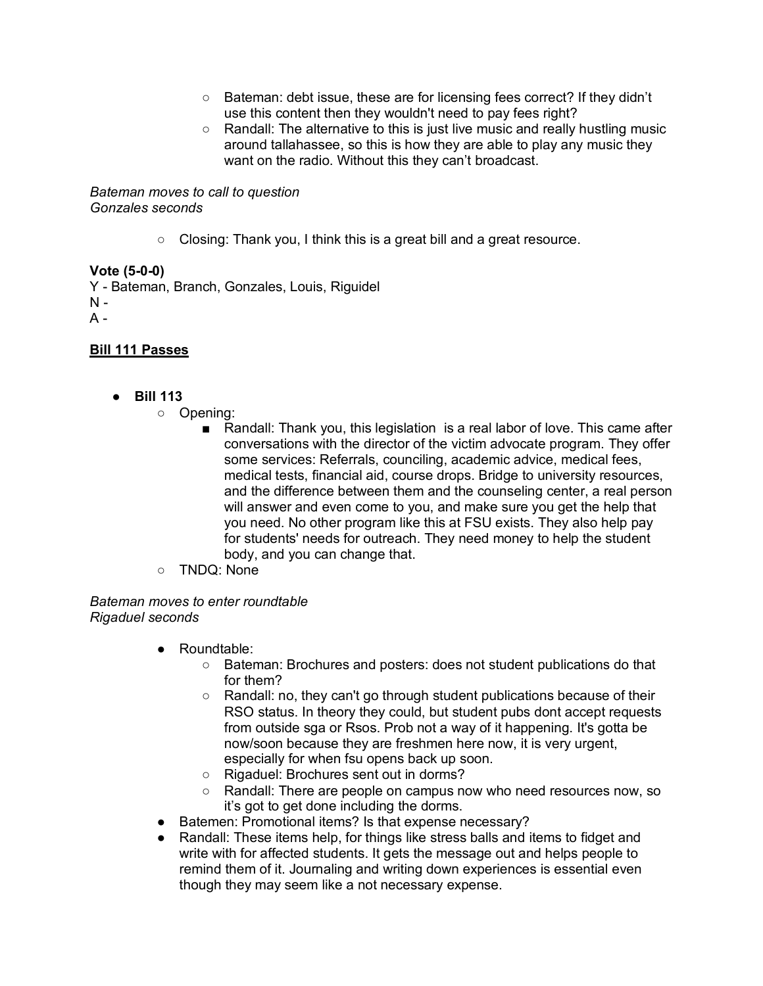- Bateman: debt issue, these are for licensing fees correct? If they didn't use this content then they wouldn't need to pay fees right?
- Randall: The alternative to this is just live music and really hustling music around tallahassee, so this is how they are able to play any music they want on the radio. Without this they can't broadcast.

*Bateman moves to call to question Gonzales seconds*

○ Closing: Thank you, I think this is a great bill and a great resource.

## **Vote (5-0-0)**

Y - Bateman, Branch, Gonzales, Louis, Riguidel  $N A -$ 

## **Bill 111 Passes**

- **Bill 113**
	- Opening:
		- Randall: Thank you, this legislation is a real labor of love. This came after conversations with the director of the victim advocate program. They offer some services: Referrals, counciling, academic advice, medical fees, medical tests, financial aid, course drops. Bridge to university resources, and the difference between them and the counseling center, a real person will answer and even come to you, and make sure you get the help that you need. No other program like this at FSU exists. They also help pay for students' needs for outreach. They need money to help the student body, and you can change that.
	- TNDQ: None

*Bateman moves to enter roundtable Rigaduel seconds*

- Roundtable:
	- Bateman: Brochures and posters: does not student publications do that for them?
	- Randall: no, they can't go through student publications because of their RSO status. In theory they could, but student pubs dont accept requests from outside sga or Rsos. Prob not a way of it happening. It's gotta be now/soon because they are freshmen here now, it is very urgent, especially for when fsu opens back up soon.
	- Rigaduel: Brochures sent out in dorms?
	- Randall: There are people on campus now who need resources now, so it's got to get done including the dorms.
- Batemen: Promotional items? Is that expense necessary?
- Randall: These items help, for things like stress balls and items to fidget and write with for affected students. It gets the message out and helps people to remind them of it. Journaling and writing down experiences is essential even though they may seem like a not necessary expense.